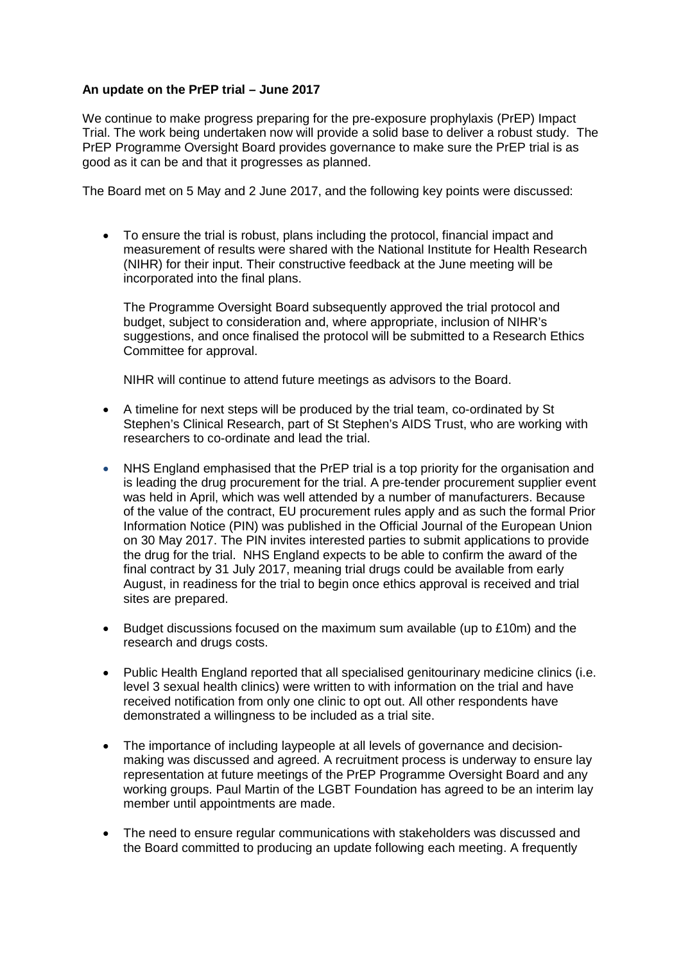## **An update on the PrEP trial – June 2017**

We continue to make progress preparing for the pre-exposure prophylaxis (PrEP) Impact Trial. The work being undertaken now will provide a solid base to deliver a robust study. The PrEP Programme Oversight Board provides governance to make sure the PrEP trial is as good as it can be and that it progresses as planned.

The Board met on 5 May and 2 June 2017, and the following key points were discussed:

• To ensure the trial is robust, plans including the protocol, financial impact and measurement of results were shared with the National Institute for Health Research (NIHR) for their input. Their constructive feedback at the June meeting will be incorporated into the final plans.

The Programme Oversight Board subsequently approved the trial protocol and budget, subject to consideration and, where appropriate, inclusion of NIHR's suggestions, and once finalised the protocol will be submitted to a Research Ethics Committee for approval.

NIHR will continue to attend future meetings as advisors to the Board.

- A timeline for next steps will be produced by the trial team, co-ordinated by St Stephen's Clinical Research, part of St Stephen's AIDS Trust, who are working with researchers to co-ordinate and lead the trial.
- NHS England emphasised that the PrEP trial is a top priority for the organisation and is leading the drug procurement for the trial. A pre-tender procurement supplier event was held in April, which was well attended by a number of manufacturers. Because of the value of the contract, EU procurement rules apply and as such the formal Prior Information Notice (PIN) was published in the Official Journal of the European Union on 30 May 2017. The PIN invites interested parties to submit applications to provide the drug for the trial. NHS England expects to be able to confirm the award of the final contract by 31 July 2017, meaning trial drugs could be available from early August, in readiness for the trial to begin once ethics approval is received and trial sites are prepared.
- Budget discussions focused on the maximum sum available (up to £10m) and the research and drugs costs.
- Public Health England reported that all specialised genitourinary medicine clinics (i.e. level 3 sexual health clinics) were written to with information on the trial and have received notification from only one clinic to opt out. All other respondents have demonstrated a willingness to be included as a trial site.
- The importance of including laypeople at all levels of governance and decisionmaking was discussed and agreed. A recruitment process is underway to ensure lay representation at future meetings of the PrEP Programme Oversight Board and any working groups. Paul Martin of the LGBT Foundation has agreed to be an interim lay member until appointments are made.
- The need to ensure regular communications with stakeholders was discussed and the Board committed to producing an update following each meeting. A frequently